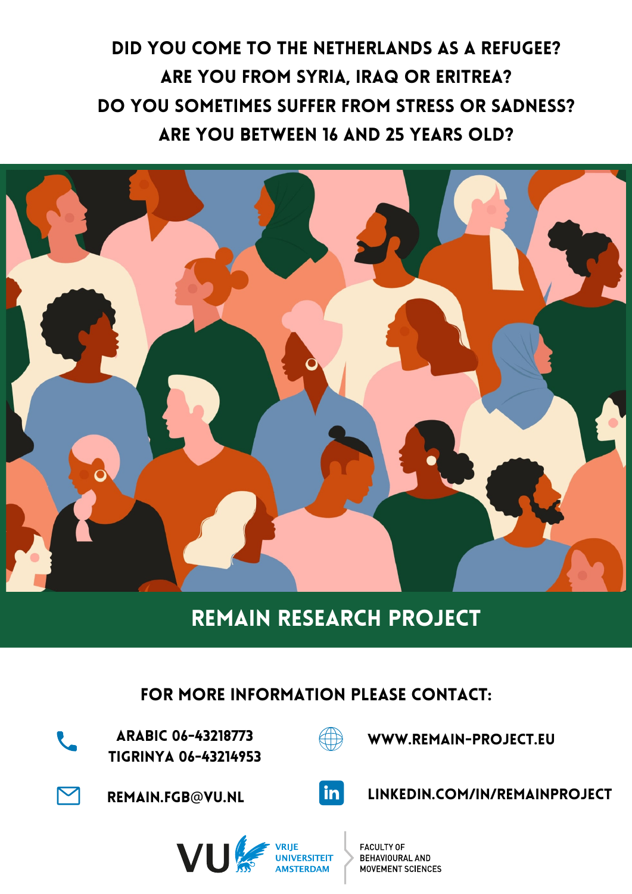# Did you come to the Netherlands as a refugee? ARE YOU FROM SYRIA, IRAQ OR ERITREA? Do you sometimes suffer from stress or sadness? Are you between 16 and 25 years old?



## REMAIN RESEARCH PROJECT

### fOR MORE INFORMATION PLEASE CONTACT:



ARABIC 06-43218773 Tigrinya 06-43214953



www.remain-project.eu



[REMAIN.FGB](mailto:remain.FGB@vu.nl)@VU.NL



linkedin.com/in/remainproject



**FACULTY OF BEHAVIOURAL AND MOVEMENT SCIENCES**